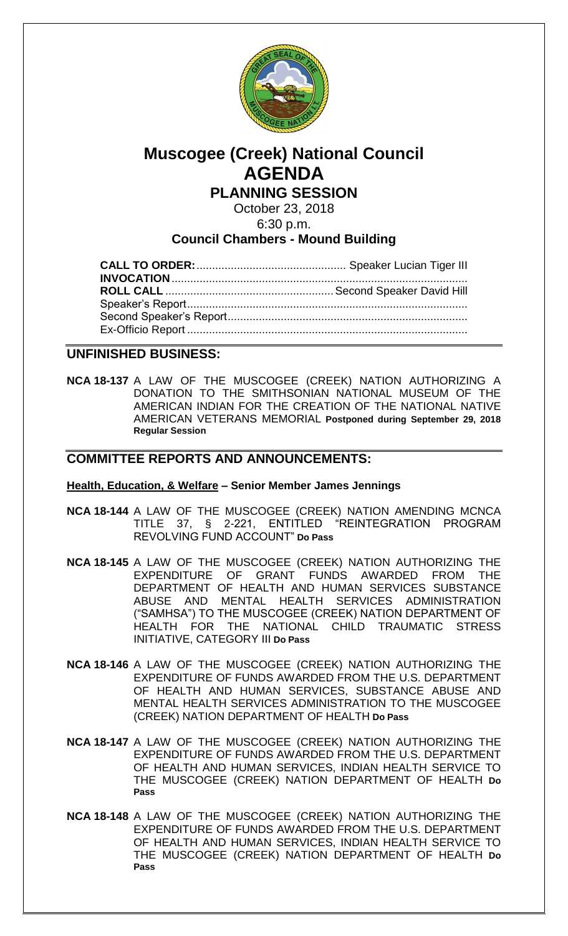

# **Muscogee (Creek) National Council AGENDA**

**PLANNING SESSION**

October 23, 2018

6:30 p.m.

# **Council Chambers - Mound Building**

## **UNFINISHED BUSINESS:**

**NCA 18-137** A LAW OF THE MUSCOGEE (CREEK) NATION AUTHORIZING A DONATION TO THE SMITHSONIAN NATIONAL MUSEUM OF THE AMERICAN INDIAN FOR THE CREATION OF THE NATIONAL NATIVE AMERICAN VETERANS MEMORIAL **Postponed during September 29, 2018 Regular Session**

## **COMMITTEE REPORTS AND ANNOUNCEMENTS:**

#### **Health, Education, & Welfare – Senior Member James Jennings**

- **NCA 18-144** A LAW OF THE MUSCOGEE (CREEK) NATION AMENDING MCNCA TITLE 37, § 2-221, ENTITLED "REINTEGRATION PROGRAM REVOLVING FUND ACCOUNT" **Do Pass**
- **NCA 18-145** A LAW OF THE MUSCOGEE (CREEK) NATION AUTHORIZING THE EXPENDITURE OF GRANT FUNDS AWARDED FROM THE DEPARTMENT OF HEALTH AND HUMAN SERVICES SUBSTANCE ABUSE AND MENTAL HEALTH SERVICES ADMINISTRATION ("SAMHSA") TO THE MUSCOGEE (CREEK) NATION DEPARTMENT OF HEALTH FOR THE NATIONAL CHILD TRAUMATIC STRESS INITIATIVE, CATEGORY III **Do Pass**
- **NCA 18-146** A LAW OF THE MUSCOGEE (CREEK) NATION AUTHORIZING THE EXPENDITURE OF FUNDS AWARDED FROM THE U.S. DEPARTMENT OF HEALTH AND HUMAN SERVICES, SUBSTANCE ABUSE AND MENTAL HEALTH SERVICES ADMINISTRATION TO THE MUSCOGEE (CREEK) NATION DEPARTMENT OF HEALTH **Do Pass**
- **NCA 18-147** A LAW OF THE MUSCOGEE (CREEK) NATION AUTHORIZING THE EXPENDITURE OF FUNDS AWARDED FROM THE U.S. DEPARTMENT OF HEALTH AND HUMAN SERVICES, INDIAN HEALTH SERVICE TO THE MUSCOGEE (CREEK) NATION DEPARTMENT OF HEALTH **Do Pass**
- **NCA 18-148** A LAW OF THE MUSCOGEE (CREEK) NATION AUTHORIZING THE EXPENDITURE OF FUNDS AWARDED FROM THE U.S. DEPARTMENT OF HEALTH AND HUMAN SERVICES, INDIAN HEALTH SERVICE TO THE MUSCOGEE (CREEK) NATION DEPARTMENT OF HEALTH **Do Pass**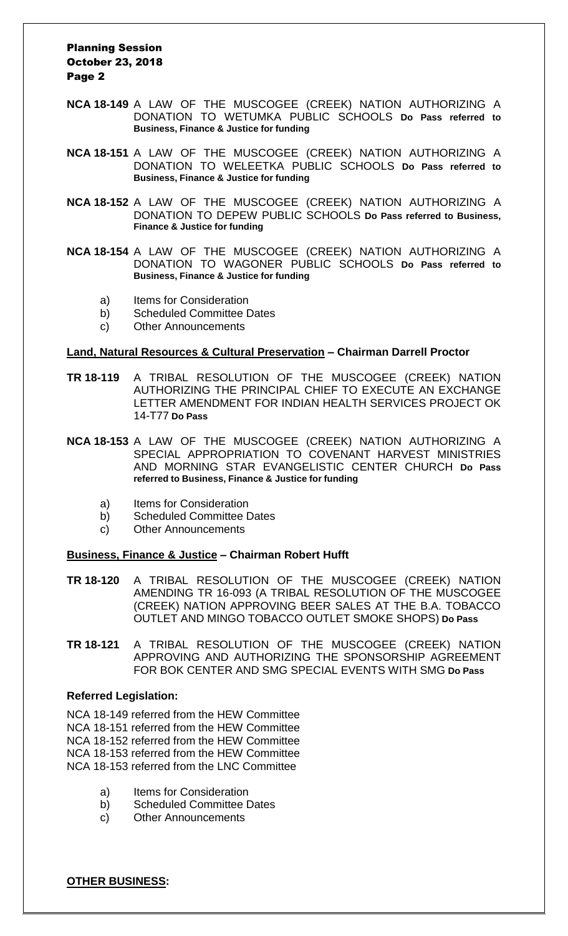#### Planning Session October 23, 2018 Page 2

- **NCA 18-149** A LAW OF THE MUSCOGEE (CREEK) NATION AUTHORIZING A DONATION TO WETUMKA PUBLIC SCHOOLS **Do Pass referred to Business, Finance & Justice for funding**
- **NCA 18-151** A LAW OF THE MUSCOGEE (CREEK) NATION AUTHORIZING A DONATION TO WELEETKA PUBLIC SCHOOLS **Do Pass referred to Business, Finance & Justice for funding**
- **NCA 18-152** A LAW OF THE MUSCOGEE (CREEK) NATION AUTHORIZING A DONATION TO DEPEW PUBLIC SCHOOLS **Do Pass referred to Business, Finance & Justice for funding**
- **NCA 18-154** A LAW OF THE MUSCOGEE (CREEK) NATION AUTHORIZING A DONATION TO WAGONER PUBLIC SCHOOLS **Do Pass referred to Business, Finance & Justice for funding**
	- a) Items for Consideration
	- b) Scheduled Committee Dates
	- c) Other Announcements

#### **Land, Natural Resources & Cultural Preservation – Chairman Darrell Proctor**

- **TR 18-119** A TRIBAL RESOLUTION OF THE MUSCOGEE (CREEK) NATION AUTHORIZING THE PRINCIPAL CHIEF TO EXECUTE AN EXCHANGE LETTER AMENDMENT FOR INDIAN HEALTH SERVICES PROJECT OK 14-T77 **Do Pass**
- **NCA 18-153** A LAW OF THE MUSCOGEE (CREEK) NATION AUTHORIZING A SPECIAL APPROPRIATION TO COVENANT HARVEST MINISTRIES AND MORNING STAR EVANGELISTIC CENTER CHURCH **Do Pass referred to Business, Finance & Justice for funding**
	- a) Items for Consideration
	- b) Scheduled Committee Dates
	- c) Other Announcements

#### **Business, Finance & Justice – Chairman Robert Hufft**

- **TR 18-120** A TRIBAL RESOLUTION OF THE MUSCOGEE (CREEK) NATION AMENDING TR 16-093 (A TRIBAL RESOLUTION OF THE MUSCOGEE (CREEK) NATION APPROVING BEER SALES AT THE B.A. TOBACCO OUTLET AND MINGO TOBACCO OUTLET SMOKE SHOPS) **Do Pass**
- **TR 18-121** A TRIBAL RESOLUTION OF THE MUSCOGEE (CREEK) NATION APPROVING AND AUTHORIZING THE SPONSORSHIP AGREEMENT FOR BOK CENTER AND SMG SPECIAL EVENTS WITH SMG **Do Pass**

#### **Referred Legislation:**

NCA 18-149 referred from the HEW Committee NCA 18-151 referred from the HEW Committee NCA 18-152 referred from the HEW Committee NCA 18-153 referred from the HEW Committee NCA 18-153 referred from the LNC Committee

- a) Items for Consideration
- b) Scheduled Committee Dates
- c) Other Announcements

**OTHER BUSINESS:**